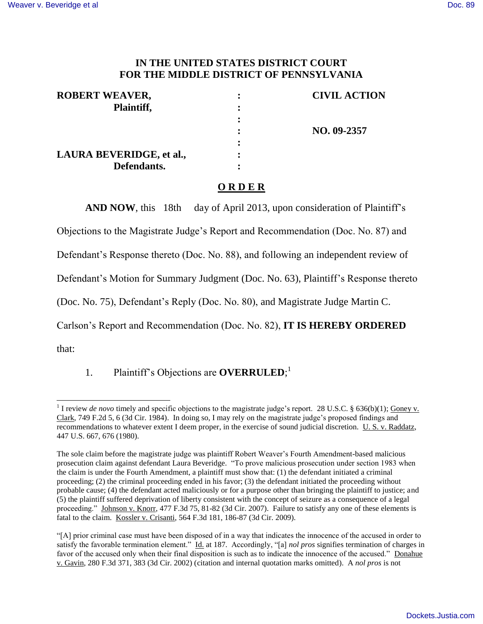## **IN THE UNITED STATES DISTRICT COURT FOR THE MIDDLE DISTRICT OF PENNSYLVANIA**

| <b>ROBERT WEAVER,</b>    | <b>CIVIL ACTION</b> |
|--------------------------|---------------------|
| Plaintiff,               |                     |
|                          |                     |
|                          | NO. 09-2357         |
|                          |                     |
| LAURA BEVERIDGE, et al., |                     |
| Defendants.              |                     |

## **O R D E R**

AND NOW, this 18th day of April 2013, upon consideration of Plaintiff's

Objections to the Magistrate Judge's Report and Recommendation (Doc. No. 87) and

Defendant's Response thereto (Doc. No. 88), and following an independent review of

Defendant's Motion for Summary Judgment (Doc. No. 63), Plaintiff's Response thereto

(Doc. No. 75), Defendant's Reply (Doc. No. 80), and Magistrate Judge Martin C.

Carlson's Report and Recommendation (Doc. No. 82), **IT IS HEREBY ORDERED**

that:

 $\overline{a}$ 

1. Plaintiff's Objections are **OVERRULED**; 1

<sup>&</sup>lt;sup>1</sup> I review *de novo* timely and specific objections to the magistrate judge's report. 28 U.S.C. § 636(b)(1); Goney v. Clark, 749 F.2d 5, 6 (3d Cir. 1984). In doing so, I may rely on the magistrate judge's proposed findings and recommendations to whatever extent I deem proper, in the exercise of sound judicial discretion. U. S. v. Raddatz, 447 U.S. 667, 676 (1980).

The sole claim before the magistrate judge was plaintiff Robert Weaver's Fourth Amendment-based malicious prosecution claim against defendant Laura Beveridge. "To prove malicious prosecution under section 1983 when the claim is under the Fourth Amendment, a plaintiff must show that: (1) the defendant initiated a criminal proceeding; (2) the criminal proceeding ended in his favor; (3) the defendant initiated the proceeding without probable cause; (4) the defendant acted maliciously or for a purpose other than bringing the plaintiff to justice; and (5) the plaintiff suffered deprivation of liberty consistent with the concept of seizure as a consequence of a legal proceeding." Johnson v. Knorr, 477 F.3d 75, 81-82 (3d Cir. 2007). Failure to satisfy any one of these elements is fatal to the claim. Kossler v. Crisanti, 564 F.3d 181, 186-87 (3d Cir. 2009).

<sup>&</sup>quot;[A] prior criminal case must have been disposed of in a way that indicates the innocence of the accused in order to satisfy the favorable termination element." Id. at 187. Accordingly, "[a] *nol pros* signifies termination of charges in favor of the accused only when their final disposition is such as to indicate the innocence of the accused." Donahue v. Gavin, 280 F.3d 371, 383 (3d Cir. 2002) (citation and internal quotation marks omitted). A *nol pros* is not